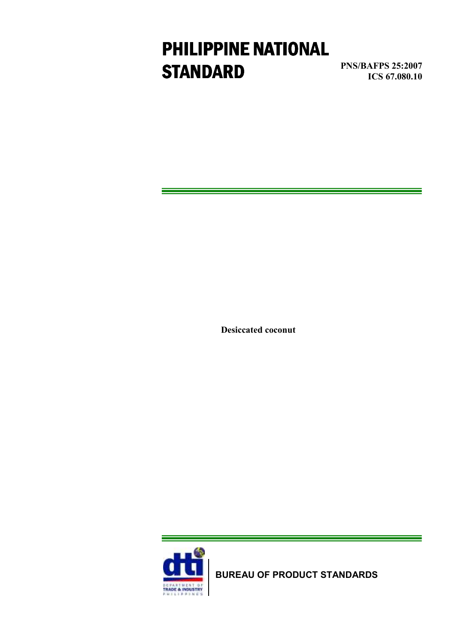# PHILIPPINE NATIONAL **STANDARD**

PNS/BAFPS 25:2007 ICS 67.080.10

Desiccated coconut



BUREAU OF PRODUCT STANDARDS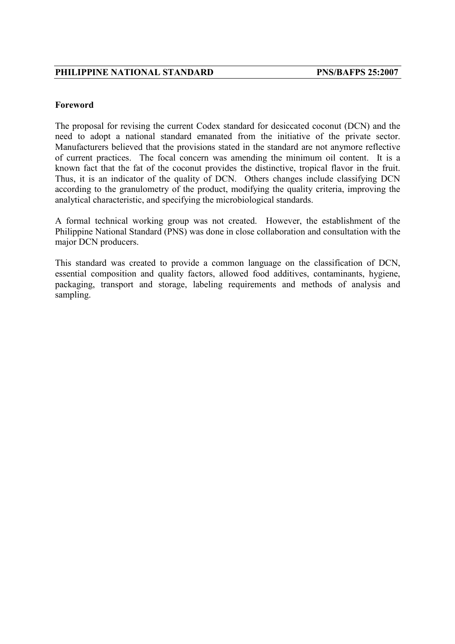#### Foreword

The proposal for revising the current Codex standard for desiccated coconut (DCN) and the need to adopt a national standard emanated from the initiative of the private sector. Manufacturers believed that the provisions stated in the standard are not anymore reflective of current practices. The focal concern was amending the minimum oil content. It is a known fact that the fat of the coconut provides the distinctive, tropical flavor in the fruit. Thus, it is an indicator of the quality of DCN. Others changes include classifying DCN according to the granulometry of the product, modifying the quality criteria, improving the analytical characteristic, and specifying the microbiological standards.

A formal technical working group was not created. However, the establishment of the Philippine National Standard (PNS) was done in close collaboration and consultation with the major DCN producers.

This standard was created to provide a common language on the classification of DCN, essential composition and quality factors, allowed food additives, contaminants, hygiene, packaging, transport and storage, labeling requirements and methods of analysis and sampling.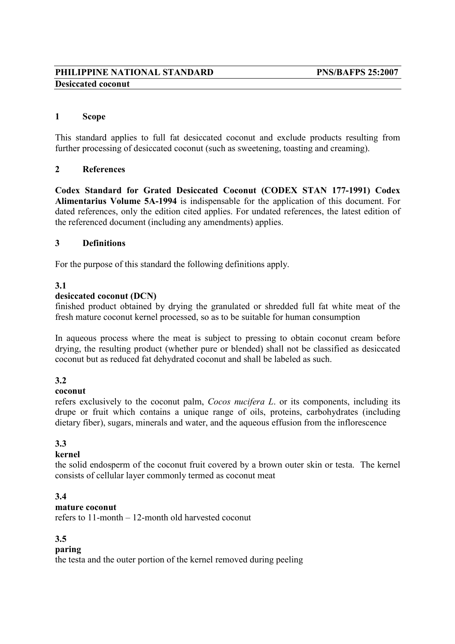# PHILIPPINE NATIONAL STANDARD PNS/BAFPS 25:2007 Desiccated coconut

#### 1 Scope

This standard applies to full fat desiccated coconut and exclude products resulting from further processing of desiccated coconut (such as sweetening, toasting and creaming).

#### 2 References

Codex Standard for Grated Desiccated Coconut (CODEX STAN 177-1991) Codex Alimentarius Volume 5A-1994 is indispensable for the application of this document. For dated references, only the edition cited applies. For undated references, the latest edition of the referenced document (including any amendments) applies.

#### 3 Definitions

For the purpose of this standard the following definitions apply.

#### 3.1

#### desiccated coconut (DCN)

finished product obtained by drying the granulated or shredded full fat white meat of the fresh mature coconut kernel processed, so as to be suitable for human consumption

In aqueous process where the meat is subject to pressing to obtain coconut cream before drying, the resulting product (whether pure or blended) shall not be classified as desiccated coconut but as reduced fat dehydrated coconut and shall be labeled as such.

#### 3.2

#### coconut

refers exclusively to the coconut palm, Cocos nucifera L. or its components, including its drupe or fruit which contains a unique range of oils, proteins, carbohydrates (including dietary fiber), sugars, minerals and water, and the aqueous effusion from the inflorescence

# 3.3

#### kernel

the solid endosperm of the coconut fruit covered by a brown outer skin or testa. The kernel consists of cellular layer commonly termed as coconut meat

#### 3.4

#### mature coconut

refers to 11-month – 12-month old harvested coconut

#### 3.5

#### paring

the testa and the outer portion of the kernel removed during peeling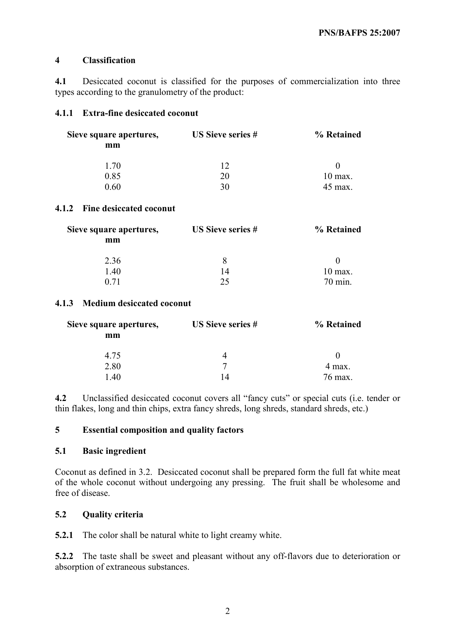## 4 Classification

4.1 Desiccated coconut is classified for the purposes of commercialization into three types according to the granulometry of the product:

## 4.1.1 Extra-fine desiccated coconut

| Sieve square apertures,<br>mm | <b>US Sieve series #</b> | % Retained |
|-------------------------------|--------------------------|------------|
|                               |                          |            |
| 0.85                          | 20                       | $10$ max.  |
| 0.60                          | 30                       | 45 max.    |

## 4.1.2 Fine desiccated coconut

| Sieve square apertures,<br>mm | <b>US Sieve series #</b> | % Retained |
|-------------------------------|--------------------------|------------|
|                               |                          |            |
| 1.40                          | 14                       | $10$ max.  |
| 0.71                          | つく                       | 70 min.    |

#### 4.1.3 Medium desiccated coconut

| Sieve square apertures, | US Sieve series # | % Retained |
|-------------------------|-------------------|------------|
| mm                      |                   |            |
| 4.75                    |                   |            |
| 2.80                    |                   | 4 max.     |
| 140                     | 14                | 76 max.    |

4.2 Unclassified desiccated coconut covers all "fancy cuts" or special cuts (i.e. tender or thin flakes, long and thin chips, extra fancy shreds, long shreds, standard shreds, etc.)

# 5 Essential composition and quality factors

#### 5.1 Basic ingredient

Coconut as defined in 3.2. Desiccated coconut shall be prepared form the full fat white meat of the whole coconut without undergoing any pressing. The fruit shall be wholesome and free of disease.

# 5.2 Quality criteria

5.2.1 The color shall be natural white to light creamy white.

5.2.2 The taste shall be sweet and pleasant without any off-flavors due to deterioration or absorption of extraneous substances.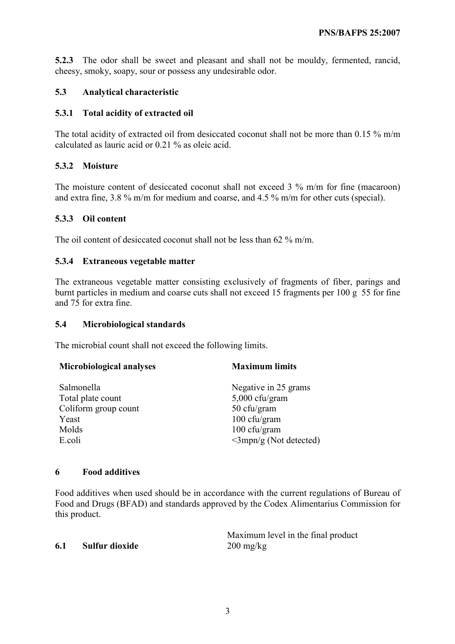5.2.3 The odor shall be sweet and pleasant and shall not be mouldy, fermented, rancid, cheesy, smoky, soapy, sour or possess any undesirable odor.

## 5.3 Analytical characteristic

#### 5.3.1 Total acidity of extracted oil

The total acidity of extracted oil from desiccated coconut shall not be more than 0.15 % m/m calculated as lauric acid or 0.21 % as oleic acid.

## 5.3.2 Moisture

The moisture content of desiccated coconut shall not exceed 3 % m/m for fine (macaroon) and extra fine, 3.8 % m/m for medium and coarse, and 4.5 % m/m for other cuts (special).

## 5.3.3 Oil content

The oil content of desiccated coconut shall not be less than 62 % m/m.

#### 5.3.4 Extraneous vegetable matter

The extraneous vegetable matter consisting exclusively of fragments of fiber, parings and burnt particles in medium and coarse cuts shall not exceed 15 fragments per 100 g 55 for fine and 75 for extra fine.

#### 5.4 Microbiological standards

The microbial count shall not exceed the following limits.

| <b>Maximum limits</b>           |  |
|---------------------------------|--|
| Negative in 25 grams            |  |
| $5,000$ cfu/gram                |  |
| 50 cfu/gram                     |  |
| 100 cfu/gram                    |  |
| 100 cfu/gram                    |  |
| $\langle$ 3mpn/g (Not detected) |  |
|                                 |  |

#### 6 Food additives

Food additives when used should be in accordance with the current regulations of Bureau of Food and Drugs (BFAD) and standards approved by the Codex Alimentarius Commission for this product.

#### 6.1 Sulfur dioxide 200 mg/kg

Maximum level in the final product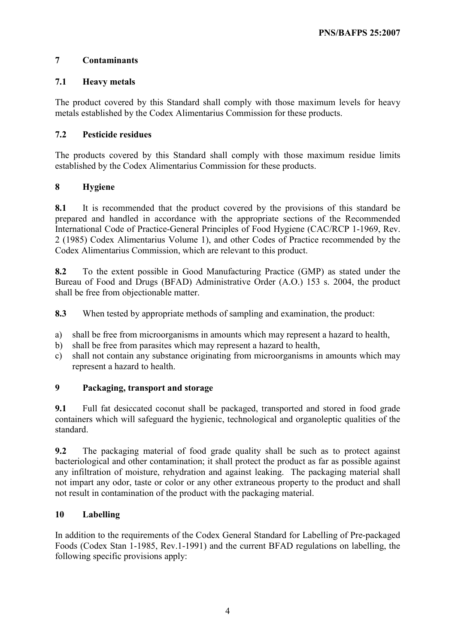# 7 Contaminants

# 7.1 Heavy metals

The product covered by this Standard shall comply with those maximum levels for heavy metals established by the Codex Alimentarius Commission for these products.

# 7.2 Pesticide residues

The products covered by this Standard shall comply with those maximum residue limits established by the Codex Alimentarius Commission for these products.

# 8 Hygiene

8.1 It is recommended that the product covered by the provisions of this standard be prepared and handled in accordance with the appropriate sections of the Recommended International Code of Practice-General Principles of Food Hygiene (CAC/RCP 1-1969, Rev. 2 (1985) Codex Alimentarius Volume 1), and other Codes of Practice recommended by the Codex Alimentarius Commission, which are relevant to this product.

8.2 To the extent possible in Good Manufacturing Practice (GMP) as stated under the Bureau of Food and Drugs (BFAD) Administrative Order (A.O.) 153 s. 2004, the product shall be free from objectionable matter.

8.3 When tested by appropriate methods of sampling and examination, the product:

- a) shall be free from microorganisms in amounts which may represent a hazard to health,
- b) shall be free from parasites which may represent a hazard to health,
- c) shall not contain any substance originating from microorganisms in amounts which may represent a hazard to health.

# 9 Packaging, transport and storage

9.1 Full fat desiccated coconut shall be packaged, transported and stored in food grade containers which will safeguard the hygienic, technological and organoleptic qualities of the standard.

9.2 The packaging material of food grade quality shall be such as to protect against bacteriological and other contamination; it shall protect the product as far as possible against any infiltration of moisture, rehydration and against leaking. The packaging material shall not impart any odor, taste or color or any other extraneous property to the product and shall not result in contamination of the product with the packaging material.

# 10 Labelling

In addition to the requirements of the Codex General Standard for Labelling of Pre-packaged Foods (Codex Stan 1-1985, Rev.1-1991) and the current BFAD regulations on labelling, the following specific provisions apply: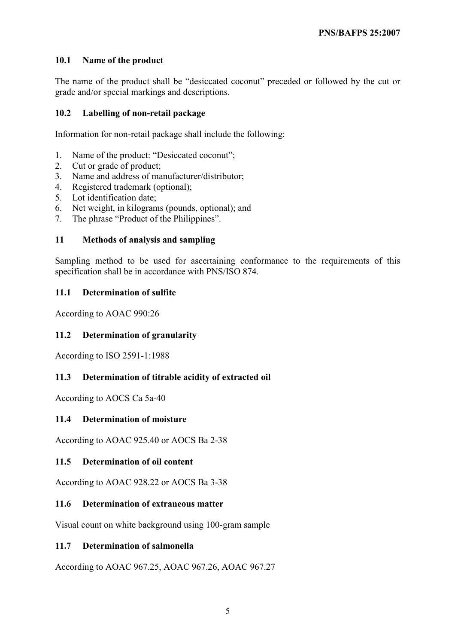# 10.1 Name of the product

The name of the product shall be "desiccated coconut" preceded or followed by the cut or grade and/or special markings and descriptions.

#### 10.2 Labelling of non-retail package

Information for non-retail package shall include the following:

- 1. Name of the product: "Desiccated coconut";
- 2. Cut or grade of product;
- 3. Name and address of manufacturer/distributor;
- 4. Registered trademark (optional);
- 5. Lot identification date;
- 6. Net weight, in kilograms (pounds, optional); and
- 7. The phrase "Product of the Philippines".

#### 11 Methods of analysis and sampling

Sampling method to be used for ascertaining conformance to the requirements of this specification shall be in accordance with PNS/ISO 874.

## 11.1 Determination of sulfite

According to AOAC 990:26

#### 11.2 Determination of granularity

According to ISO 2591-1:1988

# 11.3 Determination of titrable acidity of extracted oil

According to AOCS Ca 5a-40

#### 11.4 Determination of moisture

According to AOAC 925.40 or AOCS Ba 2-38

#### 11.5 Determination of oil content

According to AOAC 928.22 or AOCS Ba 3-38

#### 11.6 Determination of extraneous matter

Visual count on white background using 100-gram sample

#### 11.7 Determination of salmonella

According to AOAC 967.25, AOAC 967.26, AOAC 967.27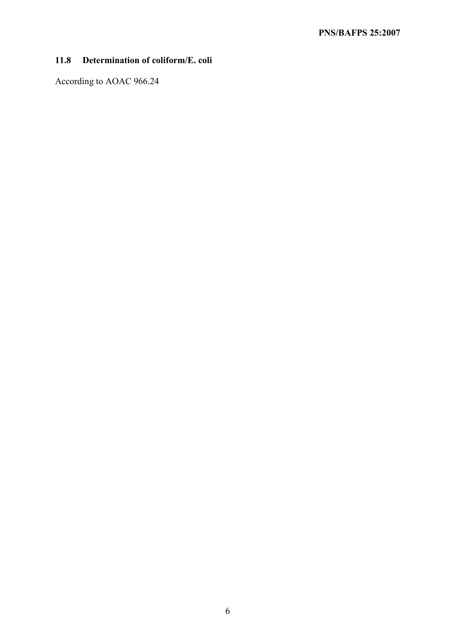# 11.8 Determination of coliform/E. coli

According to AOAC 966.24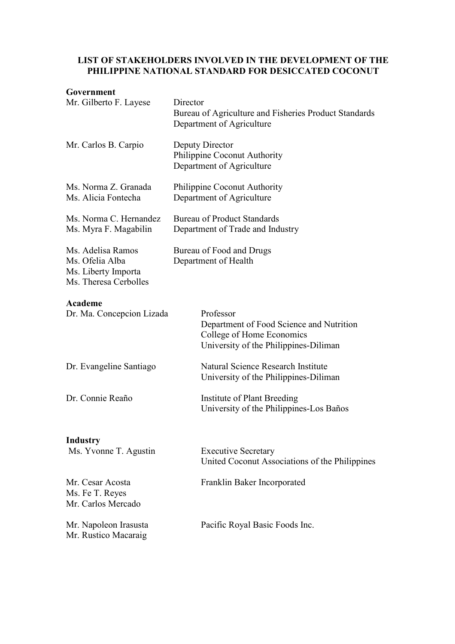#### LIST OF STAKEHOLDERS INVOLVED IN THE DEVELOPMENT OF THE PHILIPPINE NATIONAL STANDARD FOR DESICCATED COCONUT

#### Government

| Mr. Gilberto F. Layese                                                               | Director<br>Bureau of Agriculture and Fisheries Product Standards<br>Department of Agriculture                              |  |
|--------------------------------------------------------------------------------------|-----------------------------------------------------------------------------------------------------------------------------|--|
| Mr. Carlos B. Carpio                                                                 | Deputy Director<br>Philippine Coconut Authority<br>Department of Agriculture                                                |  |
| Ms. Norma Z. Granada<br>Ms. Alicia Fontecha                                          | Philippine Coconut Authority<br>Department of Agriculture                                                                   |  |
| Ms. Norma C. Hernandez<br>Ms. Myra F. Magabilin                                      | <b>Bureau of Product Standards</b><br>Department of Trade and Industry                                                      |  |
| Ms. Adelisa Ramos<br>Ms. Ofelia Alba<br>Ms. Liberty Importa<br>Ms. Theresa Cerbolles | Bureau of Food and Drugs<br>Department of Health                                                                            |  |
| Academe<br>Dr. Ma. Concepcion Lizada                                                 | Professor<br>Department of Food Science and Nutrition<br>College of Home Economics<br>University of the Philippines-Diliman |  |
| Dr. Evangeline Santiago                                                              | Natural Science Research Institute<br>University of the Philippines-Diliman                                                 |  |
| Dr. Connie Reaño                                                                     | <b>Institute of Plant Breeding</b><br>University of the Philippines-Los Baños                                               |  |
| <b>Industry</b><br>Ms. Yvonne T. Agustin                                             | <b>Executive Secretary</b><br>United Coconut Associations of the Philippines                                                |  |
| Mr. Cesar Acosta<br>Ms. Fe T. Reyes<br>Mr. Carlos Mercado                            | Franklin Baker Incorporated                                                                                                 |  |
| Mr. Napoleon Irasusta<br>Mr. Rustico Macaraig                                        | Pacific Royal Basic Foods Inc.                                                                                              |  |